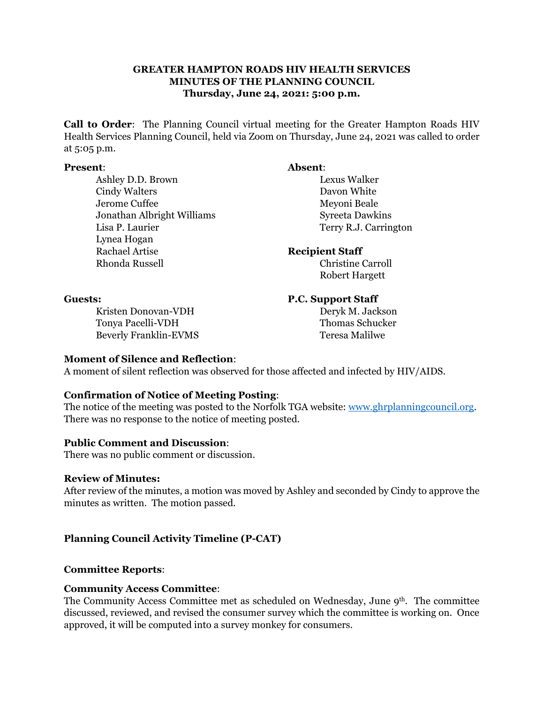#### **GREATER HAMPTON ROADS HIV HEALTH SERVICES MINUTES OF THE PLANNING COUNCIL Thursday, June 24, 2021: 5:00 p.m.**

**Call to Order**: The Planning Council virtual meeting for the Greater Hampton Roads HIV Health Services Planning Council, held via Zoom on Thursday, June 24, 2021 was called to order at 5:05 p.m.

#### **Present**: **Absent**:

Ashley D.D. Brown Lexus Walker Cindy Walters Davon White Jerome Cuffee Meyoni Beale Jonathan Albright Williams Syreeta Dawkins Lisa P. Laurier Terry R.J. Carrington Lynea Hogan Rachael Artise **Recipient Staff** Rhonda Russell Christine Carroll

Robert Hargett

Kristen Donovan-VDH Deryk M. Jackson Tonya Pacelli-VDH Thomas Schucker Beverly Franklin-EVMS Teresa Malilwe

#### **Guests: P.C. Support Staff**

#### **Moment of Silence and Reflection**:

A moment of silent reflection was observed for those affected and infected by HIV/AIDS.

## **Confirmation of Notice of Meeting Posting**:

The notice of the meeting was posted to the Norfolk TGA website: [www.ghrplanningcouncil.org.](http://www.ghrplanningcouncil.org/) There was no response to the notice of meeting posted.

## **Public Comment and Discussion**:

There was no public comment or discussion.

#### **Review of Minutes:**

After review of the minutes, a motion was moved by Ashley and seconded by Cindy to approve the minutes as written. The motion passed.

## **Planning Council Activity Timeline (P-CAT)**

#### **Committee Reports**:

## **Community Access Committee**:

The Community Access Committee met as scheduled on Wednesday, June  $9<sup>th</sup>$ . The committee discussed, reviewed, and revised the consumer survey which the committee is working on. Once approved, it will be computed into a survey monkey for consumers.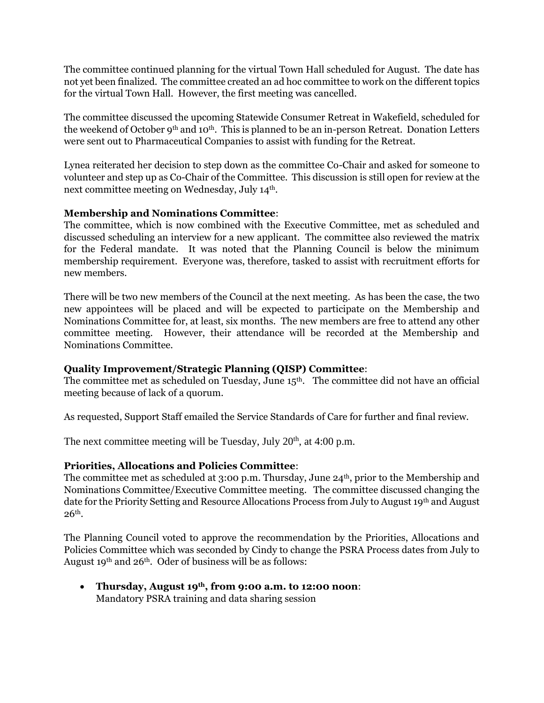The committee continued planning for the virtual Town Hall scheduled for August. The date has not yet been finalized. The committee created an ad hoc committee to work on the different topics for the virtual Town Hall. However, the first meeting was cancelled.

The committee discussed the upcoming Statewide Consumer Retreat in Wakefield, scheduled for the weekend of October 9th and 10th. This is planned to be an in-person Retreat. Donation Letters were sent out to Pharmaceutical Companies to assist with funding for the Retreat.

Lynea reiterated her decision to step down as the committee Co-Chair and asked for someone to volunteer and step up as Co-Chair of the Committee. This discussion is still open for review at the next committee meeting on Wednesday, July 14th.

## **Membership and Nominations Committee**:

The committee, which is now combined with the Executive Committee, met as scheduled and discussed scheduling an interview for a new applicant. The committee also reviewed the matrix for the Federal mandate. It was noted that the Planning Council is below the minimum membership requirement. Everyone was, therefore, tasked to assist with recruitment efforts for new members.

There will be two new members of the Council at the next meeting. As has been the case, the two new appointees will be placed and will be expected to participate on the Membership and Nominations Committee for, at least, six months. The new members are free to attend any other committee meeting. However, their attendance will be recorded at the Membership and Nominations Committee.

## **Quality Improvement/Strategic Planning (QISP) Committee**:

The committee met as scheduled on Tuesday, June 15<sup>th</sup>. The committee did not have an official meeting because of lack of a quorum.

As requested, Support Staff emailed the Service Standards of Care for further and final review.

The next committee meeting will be Tuesday, July  $20<sup>th</sup>$ , at 4:00 p.m.

## **Priorities, Allocations and Policies Committee**:

The committee met as scheduled at 3:00 p.m. Thursday, June 24<sup>th</sup>, prior to the Membership and Nominations Committee/Executive Committee meeting. The committee discussed changing the date for the Priority Setting and Resource Allocations Process from July to August 19th and August  $26<sup>th</sup>$ .

The Planning Council voted to approve the recommendation by the Priorities, Allocations and Policies Committee which was seconded by Cindy to change the PSRA Process dates from July to August 19th and 26th. Oder of business will be as follows:

• **Thursday, August 19th, from 9:00 a.m. to 12:00 noon**: Mandatory PSRA training and data sharing session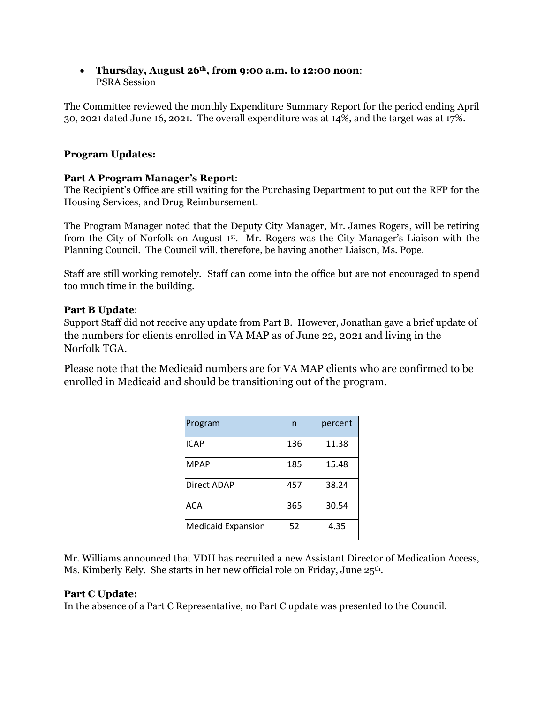• **Thursday, August 26th, from 9:00 a.m. to 12:00 noon**: PSRA Session

The Committee reviewed the monthly Expenditure Summary Report for the period ending April 30, 2021 dated June 16, 2021. The overall expenditure was at 14%, and the target was at 17%.

## **Program Updates:**

## **Part A Program Manager's Report**:

The Recipient's Office are still waiting for the Purchasing Department to put out the RFP for the Housing Services, and Drug Reimbursement.

The Program Manager noted that the Deputy City Manager, Mr. James Rogers, will be retiring from the City of Norfolk on August 1st. Mr. Rogers was the City Manager's Liaison with the Planning Council. The Council will, therefore, be having another Liaison, Ms. Pope.

Staff are still working remotely. Staff can come into the office but are not encouraged to spend too much time in the building.

## **Part B Update**:

Support Staff did not receive any update from Part B. However, Jonathan gave a brief update of the numbers for clients enrolled in VA MAP as of June 22, 2021 and living in the Norfolk TGA.

Please note that the Medicaid numbers are for VA MAP clients who are confirmed to be enrolled in Medicaid and should be transitioning out of the program.

| Program                   | n   | percent |
|---------------------------|-----|---------|
| ICAP                      | 136 | 11.38   |
| <b>MPAP</b>               | 185 | 15.48   |
| Direct ADAP               | 457 | 38.24   |
| ACA                       | 365 | 30.54   |
| <b>Medicaid Expansion</b> | 52  | 4.35    |

Mr. Williams announced that VDH has recruited a new Assistant Director of Medication Access, Ms. Kimberly Eely. She starts in her new official role on Friday, June 25<sup>th</sup>.

## **Part C Update:**

In the absence of a Part C Representative, no Part C update was presented to the Council.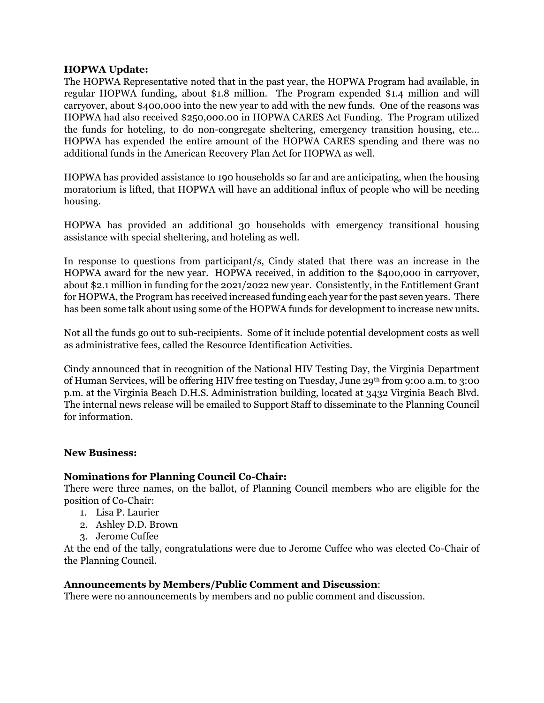#### **HOPWA Update:**

The HOPWA Representative noted that in the past year, the HOPWA Program had available, in regular HOPWA funding, about \$1.8 million. The Program expended \$1.4 million and will carryover, about \$400,000 into the new year to add with the new funds. One of the reasons was HOPWA had also received \$250,000.00 in HOPWA CARES Act Funding. The Program utilized the funds for hoteling, to do non-congregate sheltering, emergency transition housing, etc… HOPWA has expended the entire amount of the HOPWA CARES spending and there was no additional funds in the American Recovery Plan Act for HOPWA as well.

HOPWA has provided assistance to 190 households so far and are anticipating, when the housing moratorium is lifted, that HOPWA will have an additional influx of people who will be needing housing.

HOPWA has provided an additional 30 households with emergency transitional housing assistance with special sheltering, and hoteling as well.

In response to questions from participant/s, Cindy stated that there was an increase in the HOPWA award for the new year. HOPWA received, in addition to the \$400,000 in carryover, about \$2.1 million in funding for the 2021/2022 new year. Consistently, in the Entitlement Grant for HOPWA, the Program has received increased funding each year for the past seven years. There has been some talk about using some of the HOPWA funds for development to increase new units.

Not all the funds go out to sub-recipients. Some of it include potential development costs as well as administrative fees, called the Resource Identification Activities.

Cindy announced that in recognition of the National HIV Testing Day, the Virginia Department of Human Services, will be offering HIV free testing on Tuesday, June 29th from 9:00 a.m. to 3:00 p.m. at the Virginia Beach D.H.S. Administration building, located at 3432 Virginia Beach Blvd. The internal news release will be emailed to Support Staff to disseminate to the Planning Council for information.

#### **New Business:**

## **Nominations for Planning Council Co-Chair:**

There were three names, on the ballot, of Planning Council members who are eligible for the position of Co-Chair:

- 1. Lisa P. Laurier
- 2. Ashley D.D. Brown
- 3. Jerome Cuffee

At the end of the tally, congratulations were due to Jerome Cuffee who was elected Co-Chair of the Planning Council.

#### **Announcements by Members/Public Comment and Discussion**:

There were no announcements by members and no public comment and discussion.